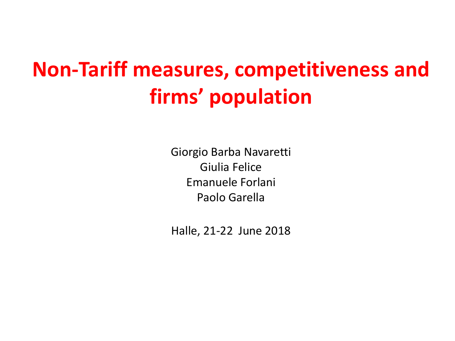# **Non-Tariff measures, competitiveness and firms' population**

Giorgio Barba Navaretti Giulia Felice Emanuele Forlani Paolo Garella

Halle, 21-22 June 2018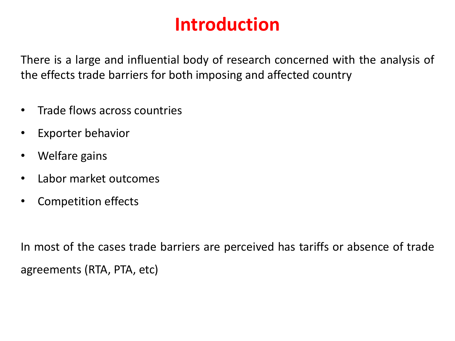## **Introduction**

There is a large and influential body of research concerned with the analysis of the effects trade barriers for both imposing and affected country

- Trade flows across countries
- Exporter behavior
- Welfare gains
- Labor market outcomes
- Competition effects

In most of the cases trade barriers are perceived has tariffs or absence of trade agreements (RTA, PTA, etc)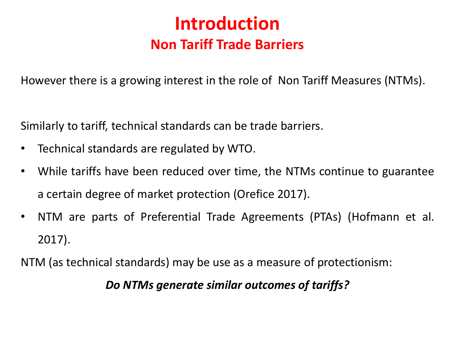### **Introduction Non Tariff Trade Barriers**

However there is a growing interest in the role of Non Tariff Measures (NTMs).

Similarly to tariff, technical standards can be trade barriers.

- Technical standards are regulated by WTO.
- While tariffs have been reduced over time, the NTMs continue to guarantee a certain degree of market protection (Orefice 2017).
- NTM are parts of Preferential Trade Agreements (PTAs) (Hofmann et al. 2017).

NTM (as technical standards) may be use as a measure of protectionism:

#### *Do NTMs generate similar outcomes of tariffs?*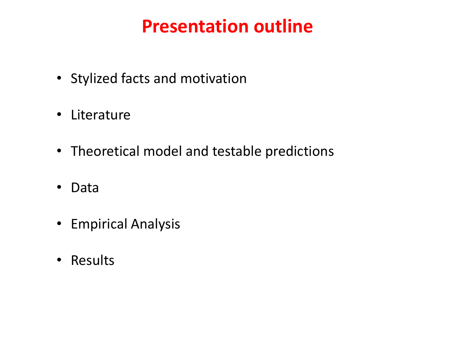## **Presentation outline**

- Stylized facts and motivation
- Literature
- Theoretical model and testable predictions
- Data
- Empirical Analysis
- Results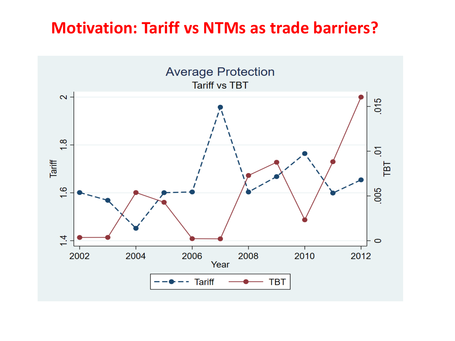### **Motivation: Tariff vs NTMs as trade barriers?**

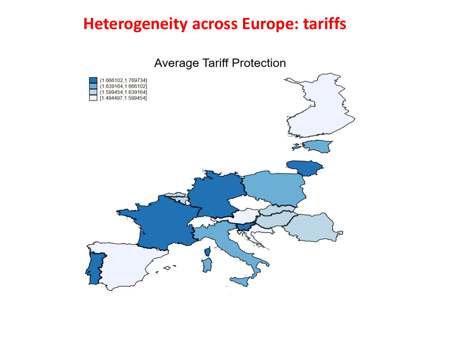### **Heterogeneity across Europe: tariffs**

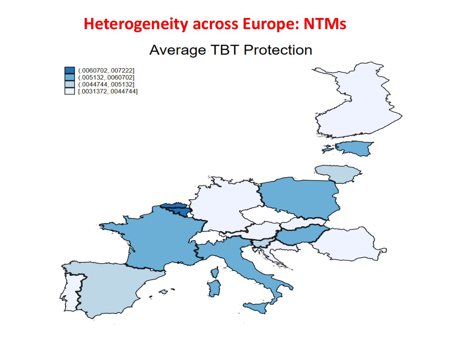### **Heterogeneity across Europe: NTMs**

**Average TBT Protection** 

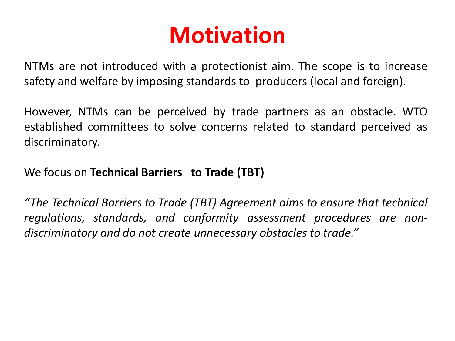# **Motivation**

NTMs are not introduced with a protectionist aim. The scope is to increase safety and welfare by imposing standards to producers (local and foreign).

However, NTMs can be perceived by trade partners as an obstacle. WTO established committees to solve concerns related to standard perceived as discriminatory.

We focus on **Technical Barriers to Trade (TBT)**

*"The Technical Barriers to Trade (TBT) Agreement aims to ensure that technical regulations, standards, and conformity assessment procedures are nondiscriminatory and do not create unnecessary obstacles to trade."*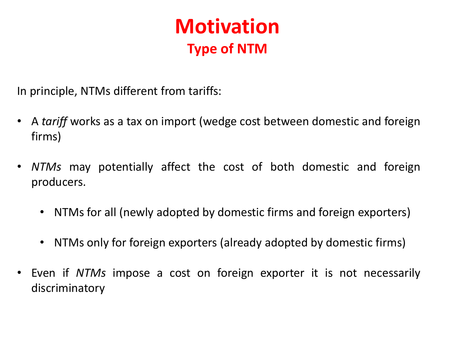## **Motivation Type of NTM**

In principle, NTMs different from tariffs:

- A *tariff* works as a tax on import (wedge cost between domestic and foreign firms)
- *NTMs* may potentially affect the cost of both domestic and foreign producers.
	- NTMs for all (newly adopted by domestic firms and foreign exporters)
	- NTMs only for foreign exporters (already adopted by domestic firms)
- Even if *NTMs* impose a cost on foreign exporter it is not necessarily discriminatory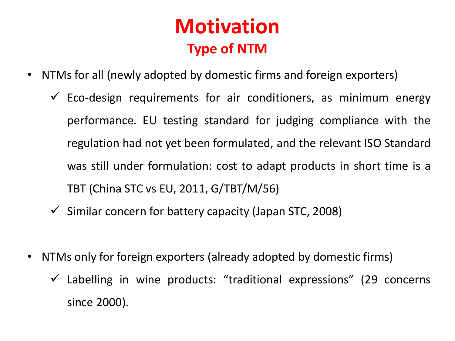## **Motivation Type of NTM**

- NTMs for all (newly adopted by domestic firms and foreign exporters)
	- $\checkmark$  Eco-design requirements for air conditioners, as minimum energy performance. EU testing standard for judging compliance with the regulation had not yet been formulated, and the relevant ISO Standard was still under formulation: cost to adapt products in short time is a TBT (China STC vs EU, 2011, G/TBT/M/56)
	- $\checkmark$  Similar concern for battery capacity (Japan STC, 2008)
- NTMs only for foreign exporters (already adopted by domestic firms)
	- $\checkmark$  Labelling in wine products: "traditional expressions" (29 concerns since 2000).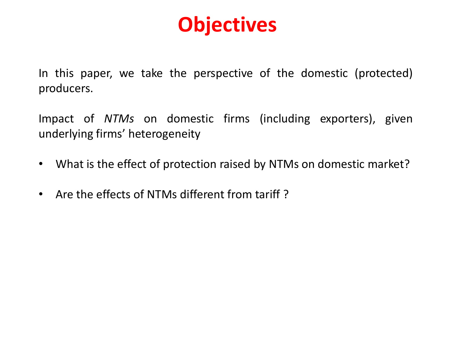# **Objectives**

In this paper, we take the perspective of the domestic (protected) producers.

Impact of *NTMs* on domestic firms (including exporters), given underlying firms' heterogeneity

- What is the effect of protection raised by NTMs on domestic market?
- Are the effects of NTMs different from tariff ?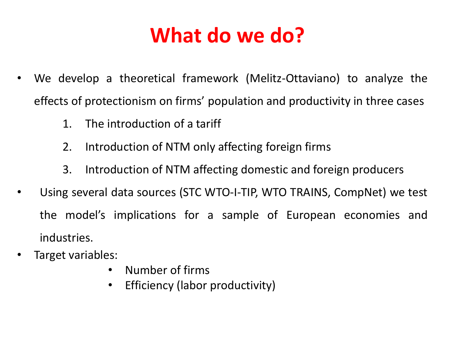# **What do we do?**

- We develop a theoretical framework (Melitz-Ottaviano) to analyze the effects of protectionism on firms' population and productivity in three cases
	- 1. The introduction of a tariff
	- 2. Introduction of NTM only affecting foreign firms
	- 3. Introduction of NTM affecting domestic and foreign producers
- Using several data sources (STC WTO-I-TIP, WTO TRAINS, CompNet) we test the model's implications for a sample of European economies and industries.
- Target variables:
	- Number of firms
	- Efficiency (labor productivity)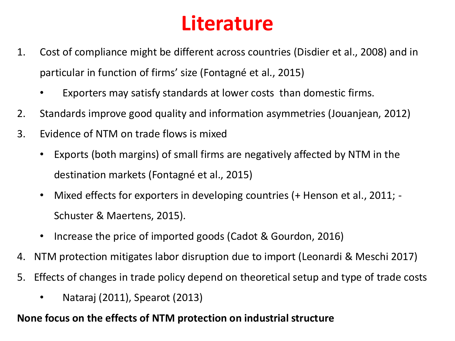# **Literature**

- 1. Cost of compliance might be different across countries (Disdier et al., 2008) and in particular in function of firms' size (Fontagné et al., 2015)
	- Exporters may satisfy standards at lower costs than domestic firms.
- 2. Standards improve good quality and information asymmetries (Jouanjean, 2012)
- 3. Evidence of NTM on trade flows is mixed
	- Exports (both margins) of small firms are negatively affected by NTM in the destination markets (Fontagné et al., 2015)
	- Mixed effects for exporters in developing countries (+ Henson et al., 2011; Schuster & Maertens, 2015).
	- Increase the price of imported goods (Cadot & Gourdon, 2016)
- 4. NTM protection mitigates labor disruption due to import (Leonardi & Meschi 2017)
- 5. Effects of changes in trade policy depend on theoretical setup and type of trade costs
	- Nataraj (2011), Spearot (2013)

#### **None focus on the effects of NTM protection on industrial structure**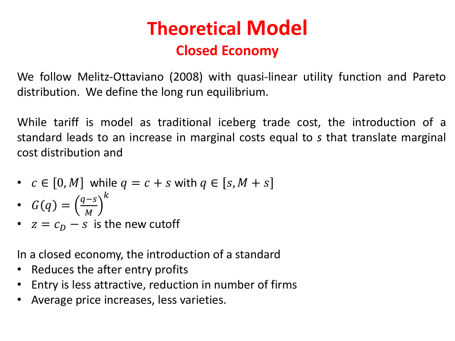## **Theoretical Model Closed Economy**

We follow Melitz-Ottaviano (2008) with quasi-linear utility function and Pareto distribution. We define the long run equilibrium.

While tariff is model as traditional iceberg trade cost, the introduction of a standard leads to an increase in marginal costs equal to *s* that translate marginal cost distribution and

- $c \in [0, M]$  while  $q = c + s$  with  $q \in [s, M + s]$
- $G(q) = \left(\frac{q-s}{M}\right)$  $\overline{M}$  $\boldsymbol{k}$
- $z = c_D s$  is the new cutoff

In a closed economy, the introduction of a standard

- Reduces the after entry profits
- Entry is less attractive, reduction in number of firms
- Average price increases, less varieties.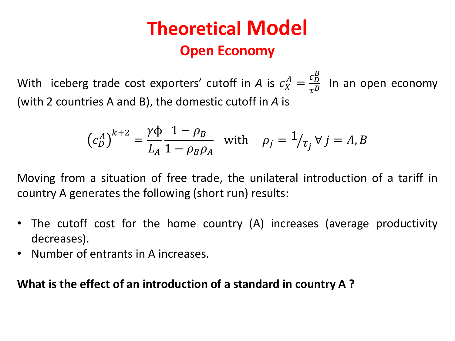## **Theoretical Model Open Economy**

With iceberg trade cost exporters' cutoff in A is  $c_X^A = \frac{c_D^B}{\tau^B}$  $\tau^B$ In an open economy (with 2 countries A and B), the domestic cutoff in *A* is

$$
\left(c_D^A\right)^{k+2} = \frac{\gamma \Phi}{L_A} \frac{1 - \rho_B}{1 - \rho_B \rho_A} \quad \text{with} \quad \rho_j = 1/\tau_j \ \forall \ j = A, B
$$

Moving from a situation of free trade, the unilateral introduction of a tariff in country A generates the following (short run) results:

- The cutoff cost for the home country (A) increases (average productivity decreases).
- Number of entrants in A increases.

#### **What is the effect of an introduction of a standard in country A ?**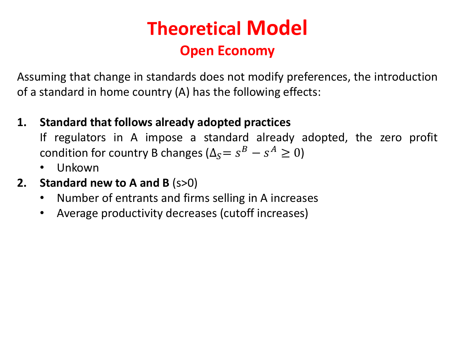## **Theoretical Model Open Economy**

Assuming that change in standards does not modify preferences, the introduction of a standard in home country (A) has the following effects:

**1. Standard that follows already adopted practices**

If regulators in A impose a standard already adopted, the zero profit condition for country B changes ( $\Delta_S = s^B - s^A \geq 0$ )

- Unkown
- **2. Standard new to A and B** (s>0)
	- Number of entrants and firms selling in A increases
	- Average productivity decreases (cutoff increases)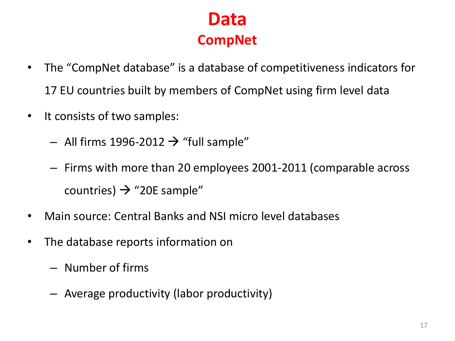### **Data CompNet**

- The "CompNet database" is a database of competitiveness indicators for 17 EU countries built by members of CompNet using firm level data
- It consists of two samples:
	- All firms 1996-2012  $\rightarrow$  "full sample"
	- Firms with more than 20 employees 2001-2011 (comparable across countries)  $\rightarrow$  "20E sample"
- Main source: Central Banks and NSI micro level databases
- The database reports information on
	- Number of firms
	- Average productivity (labor productivity)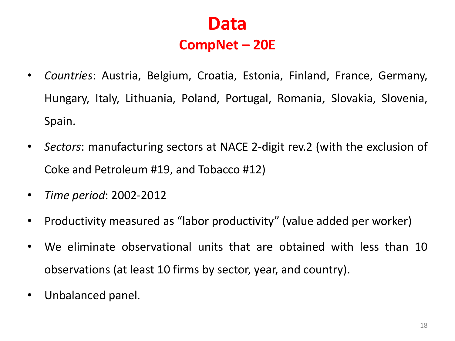### **Data CompNet – 20E**

- *Countries*: Austria, Belgium, Croatia, Estonia, Finland, France, Germany, Hungary, Italy, Lithuania, Poland, Portugal, Romania, Slovakia, Slovenia, Spain.
- *Sectors*: manufacturing sectors at NACE 2-digit rev.2 (with the exclusion of Coke and Petroleum #19, and Tobacco #12)
- *Time period*: 2002-2012
- Productivity measured as "labor productivity" (value added per worker)
- We eliminate observational units that are obtained with less than 10 observations (at least 10 firms by sector, year, and country).
- Unbalanced panel.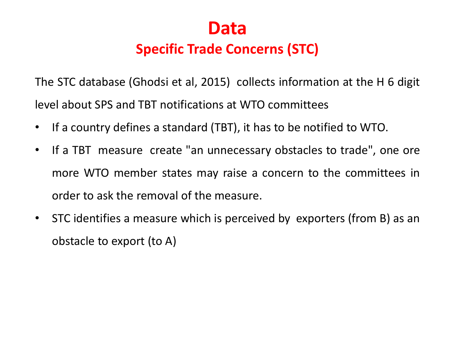

#### **Specific Trade Concerns (STC)**

The STC database (Ghodsi et al, 2015) collects information at the H 6 digit level about SPS and TBT notifications at WTO committees

- If a country defines a standard (TBT), it has to be notified to WTO.
- If a TBT measure create "an unnecessary obstacles to trade", one ore more WTO member states may raise a concern to the committees in order to ask the removal of the measure.
- STC identifies a measure which is perceived by exporters (from B) as an obstacle to export (to A)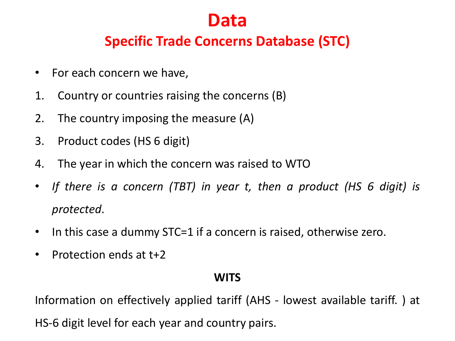### **Data**

#### **Specific Trade Concerns Database (STC)**

- For each concern we have,
- 1. Country or countries raising the concerns (B)
- 2. The country imposing the measure (A)
- 3. Product codes (HS 6 digit)
- 4. The year in which the concern was raised to WTO
- *If there is a concern (TBT) in year t, then a product (HS 6 digit) is protected*.
- In this case a dummy STC=1 if a concern is raised, otherwise zero.
- Protection ends at t+2

#### **WITS**

Information on effectively applied tariff (AHS - lowest available tariff. ) at

HS-6 digit level for each year and country pairs.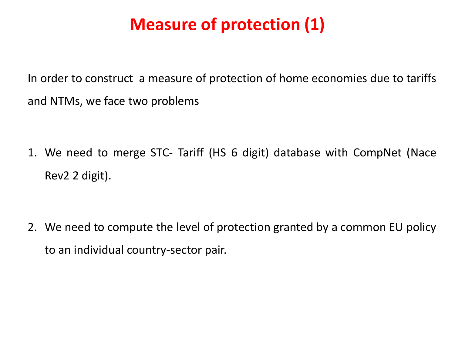## **Measure of protection (1)**

In order to construct a measure of protection of home economies due to tariffs and NTMs, we face two problems

1. We need to merge STC- Tariff (HS 6 digit) database with CompNet (Nace Rev2 2 digit).

2. We need to compute the level of protection granted by a common EU policy to an individual country-sector pair.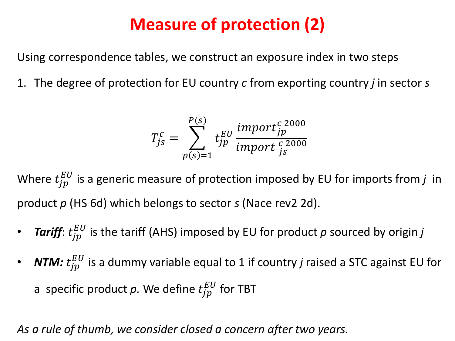## **Measure of protection (2)**

Using correspondence tables, we construct an exposure index in two steps

1. The degree of protection for EU country *c* from exporting country *j* in sector *s*

$$
T_{js}^c = \sum_{p(s)=1}^{P(s)} t_{jp}^{EU} \frac{import_j^{c~2000}}{import_j^{c~2000}}
$$

Where  $t_{jp}^{EU}$  is a generic measure of protection imposed by EU for imports from  $j$  in product *p* (HS 6d) which belongs to sector *s* (Nace rev2 2d).

- *Tariff*:  $t_{jp}^{EU}$  is the tariff (AHS) imposed by EU for product  $p$  sourced by origin  $j$
- $$ a specific product  $p$ . We define  $t_{jp}^{EU}$  for TBT

#### *As a rule of thumb, we consider closed a concern after two years.*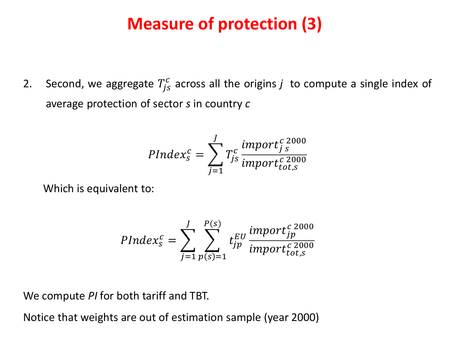### **Measure of protection (3)**

2. Second, we aggregate  $T_{js}^c$  across all the origins  $j$  to compute a single index of average protection of sector *s* in country *c*

$$
PIndex_{S}^{c} = \sum_{j=1}^{J} T_{js}^{c} \frac{import_{j}^{c}2000}{import_{tot,s}^{c}2000}
$$

Which is equivalent to:

$$
PIndex_{S}^{c} = \sum_{j=1}^{J} \sum_{p(s)=1}^{P(s)} t_{jp}^{EU} \frac{import_{jp}^{c\ 2000}}{import_{tot,s}^{c\ 2000}}
$$

We compute *PI* for both tariff and TBT.

Notice that weights are out of estimation sample (year 2000)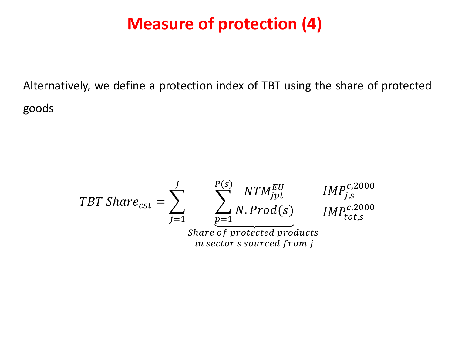### **Measure of protection (4)**

Alternatively, we define a protection index of TBT using the share of protected goods

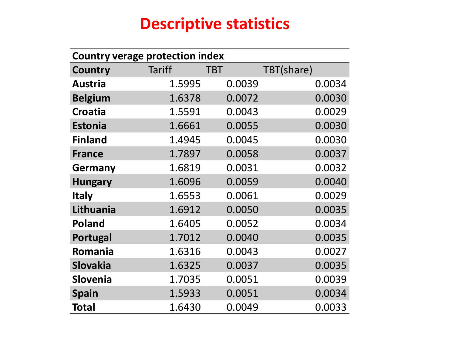### **Descriptive statistics**

| <b>Country verage protection index</b> |               |            |            |  |  |  |  |  |
|----------------------------------------|---------------|------------|------------|--|--|--|--|--|
| Country                                | <b>Tariff</b> | <b>TBT</b> | TBT(share) |  |  |  |  |  |
| <b>Austria</b>                         | 1.5995        | 0.0039     | 0.0034     |  |  |  |  |  |
| <b>Belgium</b>                         | 1.6378        | 0.0072     | 0.0030     |  |  |  |  |  |
| <b>Croatia</b>                         | 1.5591        | 0.0043     | 0.0029     |  |  |  |  |  |
| <b>Estonia</b>                         | 1.6661        | 0.0055     | 0.0030     |  |  |  |  |  |
| <b>Finland</b>                         | 1.4945        | 0.0045     | 0.0030     |  |  |  |  |  |
| <b>France</b>                          | 1.7897        | 0.0058     | 0.0037     |  |  |  |  |  |
| <b>Germany</b>                         | 1.6819        | 0.0031     | 0.0032     |  |  |  |  |  |
| <b>Hungary</b>                         | 1.6096        | 0.0059     | 0.0040     |  |  |  |  |  |
| <b>Italy</b>                           | 1.6553        | 0.0061     | 0.0029     |  |  |  |  |  |
| Lithuania                              | 1.6912        | 0.0050     | 0.0035     |  |  |  |  |  |
| <b>Poland</b>                          | 1.6405        | 0.0052     | 0.0034     |  |  |  |  |  |
| Portugal                               | 1.7012        | 0.0040     | 0.0035     |  |  |  |  |  |
| Romania                                | 1.6316        | 0.0043     | 0.0027     |  |  |  |  |  |
| Slovakia                               | 1.6325        | 0.0037     | 0.0035     |  |  |  |  |  |
| <b>Slovenia</b>                        | 1.7035        | 0.0051     | 0.0039     |  |  |  |  |  |
| <b>Spain</b>                           | 1.5933        | 0.0051     | 0.0034     |  |  |  |  |  |
| <b>Total</b>                           | 1.6430        | 0.0049     | 0.0033     |  |  |  |  |  |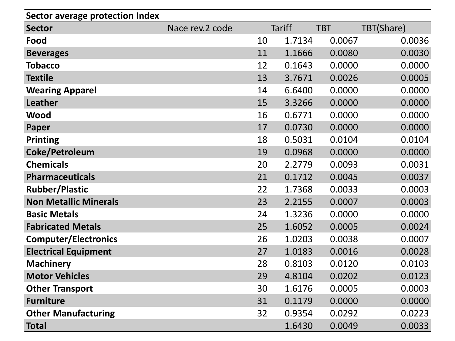| <b>Sector average protection Index</b> |                 |    |               |            |            |
|----------------------------------------|-----------------|----|---------------|------------|------------|
| <b>Sector</b>                          | Nace rev.2 code |    | <b>Tariff</b> | <b>TBT</b> | TBT(Share) |
| Food                                   |                 | 10 | 1.7134        | 0.0067     | 0.0036     |
| <b>Beverages</b>                       |                 | 11 | 1.1666        | 0.0080     | 0.0030     |
| <b>Tobacco</b>                         |                 | 12 | 0.1643        | 0.0000     | 0.0000     |
| <b>Textile</b>                         |                 | 13 | 3.7671        | 0.0026     | 0.0005     |
| <b>Wearing Apparel</b>                 |                 | 14 | 6.6400        | 0.0000     | 0.0000     |
| Leather                                |                 | 15 | 3.3266        | 0.0000     | 0.0000     |
| Wood                                   |                 | 16 | 0.6771        | 0.0000     | 0.0000     |
| Paper                                  |                 | 17 | 0.0730        | 0.0000     | 0.0000     |
| <b>Printing</b>                        |                 | 18 | 0.5031        | 0.0104     | 0.0104     |
| Coke/Petroleum                         |                 | 19 | 0.0968        | 0.0000     | 0.0000     |
| <b>Chemicals</b>                       |                 | 20 | 2.2779        | 0.0093     | 0.0031     |
| <b>Pharmaceuticals</b>                 |                 | 21 | 0.1712        | 0.0045     | 0.0037     |
| <b>Rubber/Plastic</b>                  |                 | 22 | 1.7368        | 0.0033     | 0.0003     |
| <b>Non Metallic Minerals</b>           |                 | 23 | 2.2155        | 0.0007     | 0.0003     |
| <b>Basic Metals</b>                    |                 | 24 | 1.3236        | 0.0000     | 0.0000     |
| <b>Fabricated Metals</b>               |                 | 25 | 1.6052        | 0.0005     | 0.0024     |
| <b>Computer/Electronics</b>            |                 | 26 | 1.0203        | 0.0038     | 0.0007     |
| <b>Electrical Equipment</b>            |                 | 27 | 1.0183        | 0.0016     | 0.0028     |
| <b>Machinery</b>                       |                 | 28 | 0.8103        | 0.0120     | 0.0103     |
| <b>Motor Vehicles</b>                  |                 | 29 | 4.8104        | 0.0202     | 0.0123     |
| <b>Other Transport</b>                 |                 | 30 | 1.6176        | 0.0005     | 0.0003     |
| <b>Furniture</b>                       |                 | 31 | 0.1179        | 0.0000     | 0.0000     |
| <b>Other Manufacturing</b>             |                 | 32 | 0.9354        | 0.0292     | 0.0223     |
| <b>Total</b>                           |                 |    | 1.6430        | 0.0049     | 0.0033     |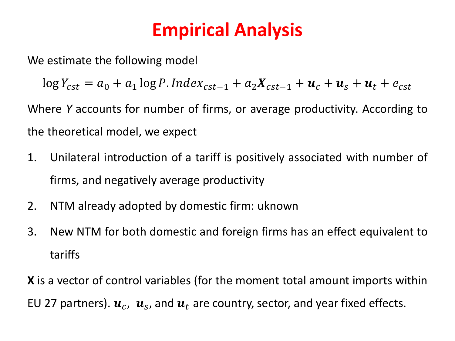## **Empirical Analysis**

We estimate the following model

 $\log Y_{cst} = a_0 + a_1 \log P$ . Index<sub>cst-1</sub> +  $a_2 X_{cst-1} + u_c + u_s + u_t + e_{cst}$ 

Where *Y* accounts for number of firms, or average productivity. According to the theoretical model, we expect

- 1. Unilateral introduction of a tariff is positively associated with number of firms, and negatively average productivity
- 2. NTM already adopted by domestic firm: uknown
- 3. New NTM for both domestic and foreign firms has an effect equivalent to tariffs

**X** is a vector of control variables (for the moment total amount imports within EU 27 partners).  $\boldsymbol{u}_c$ ,  $\boldsymbol{u}_s$ , and  $\boldsymbol{u}_t$  are country, sector, and year fixed effects.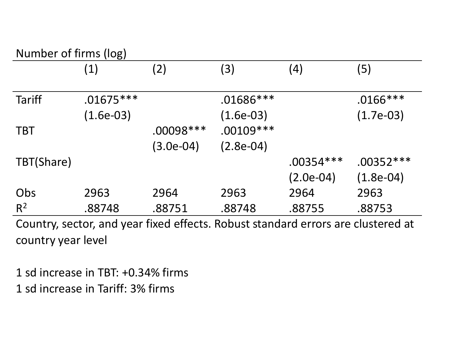#### Number of firms (log)

|                | ັ<br>$\left( 1\right)$ | (2)         | (3)         | (4)         | (5)         |
|----------------|------------------------|-------------|-------------|-------------|-------------|
| <b>Tariff</b>  | $.01675***$            |             | $.01686***$ |             | $.0166***$  |
|                | $(1.6e-03)$            |             | $(1.6e-03)$ |             | $(1.7e-03)$ |
| <b>TBT</b>     |                        | $.00098***$ | $.00109***$ |             |             |
|                |                        | (3.0e-04)   | $(2.8e-04)$ |             |             |
| TBT(Share)     |                        |             |             | $.00354***$ | $.00352***$ |
|                |                        |             |             | $(2.0e-04)$ | $(1.8e-04)$ |
| Obs            | 2963                   | 2964        | 2963        | 2964        | 2963        |
| R <sup>2</sup> | .88748                 | .88751      | .88748      | .88755      | .88753      |

Country, sector, and year fixed effects. Robust standard errors are clustered at country year level

1 sd increase in TBT: +0.34% firms 1 sd increase in Tariff: 3% firms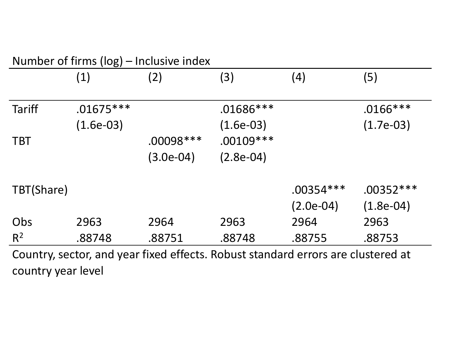| Number of firms (log) – Inclusive index |                            |                         |                            |                            |                            |  |  |  |
|-----------------------------------------|----------------------------|-------------------------|----------------------------|----------------------------|----------------------------|--|--|--|
|                                         | (1)                        | (2)                     | (3)                        | (4)                        | (5)                        |  |  |  |
| <b>Tariff</b>                           | $.01675***$<br>$(1.6e-03)$ |                         | $.01686***$<br>$(1.6e-03)$ |                            | $.0166***$<br>$(1.7e-03)$  |  |  |  |
| <b>TBT</b>                              |                            | .00098 ***<br>(3.0e-04) | $.00109***$<br>$(2.8e-04)$ |                            |                            |  |  |  |
| TBT(Share)                              |                            |                         |                            | $.00354***$<br>$(2.0e-04)$ | $.00352***$<br>$(1.8e-04)$ |  |  |  |
| Obs                                     | 2963                       | 2964                    | 2963                       | 2964                       | 2963                       |  |  |  |
| $R^2$                                   | .88748                     | .88751                  | .88748                     | .88755                     | .88753                     |  |  |  |
|                                         |                            | C I I CICIDIII II III   |                            |                            |                            |  |  |  |

Country, sector, and year fixed effects. Robust standard errors are clustered at country year level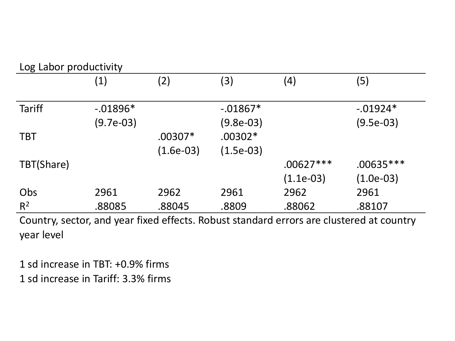|                | (1)         | (2)         | (3)         | (4)         | (5)         |
|----------------|-------------|-------------|-------------|-------------|-------------|
| <b>Tariff</b>  | $-0.01896*$ |             | $-0.01867*$ |             | $-0.01924*$ |
|                | $(9.7e-03)$ |             | (9.8e-03)   |             | $(9.5e-03)$ |
| <b>TBT</b>     |             | $.00307*$   | $.00302*$   |             |             |
|                |             | $(1.6e-03)$ | $(1.5e-03)$ |             |             |
| TBT(Share)     |             |             |             | $.00627***$ | $.00635***$ |
|                |             |             |             | $(1.1e-03)$ | $(1.0e-03)$ |
| Obs            | 2961        | 2962        | 2961        | 2962        | 2961        |
| R <sup>2</sup> | .88085      | .88045      | .8809       | .88062      | .88107      |

Country, sector, and year fixed effects. Robust standard errors are clustered at country year level

1 sd increase in TBT: +0.9% firms 1 sd increase in Tariff: 3.3% firms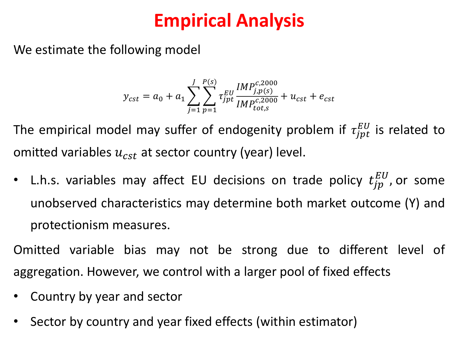## **Empirical Analysis**

We estimate the following model

$$
y_{cst} = a_0 + a_1 \sum_{j=1}^{J} \sum_{p=1}^{P(s)} \tau_{jpt}^{EU} \frac{IMP_{j,p(s)}^{c,2000}}{IMP_{tot,s}^{c,2000}} + u_{cst} + e_{cst}
$$

The empirical model may suffer of endogenity problem if  $\tau_{jpt}^{EU}$  is related to omitted variables  $u_{cst}$  at sector country (year) level.

• L.h.s. variables may affect EU decisions on trade policy  $t_{jp}^{EU}$ , or some unobserved characteristics may determine both market outcome (Y) and protectionism measures.

Omitted variable bias may not be strong due to different level of aggregation. However, we control with a larger pool of fixed effects

- Country by year and sector
- Sector by country and year fixed effects (within estimator)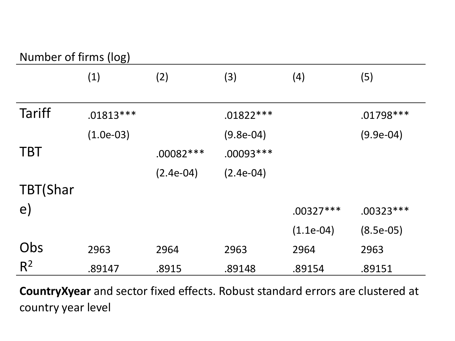#### Number of firms (log)

|                | (1)         | (2)         | (3)         | (4)         | (5)         |
|----------------|-------------|-------------|-------------|-------------|-------------|
| <b>Tariff</b>  | $.01813***$ |             | $.01822***$ |             | $.01798***$ |
|                | $(1.0e-03)$ |             | $(9.8e-04)$ |             | $(9.9e-04)$ |
| <b>TBT</b>     |             | $.00082***$ | $.00093***$ |             |             |
|                |             | $(2.4e-04)$ | $(2.4e-04)$ |             |             |
| TBT(Shar       |             |             |             |             |             |
| $\epsilon$     |             |             |             | $.00327***$ | $.00323***$ |
|                |             |             |             | $(1.1e-04)$ | $(8.5e-05)$ |
| Obs            | 2963        | 2964        | 2963        | 2964        | 2963        |
| R <sup>2</sup> | .89147      | .8915       | .89148      | .89154      | .89151      |

**CountryXyear** and sector fixed effects. Robust standard errors are clustered at country year level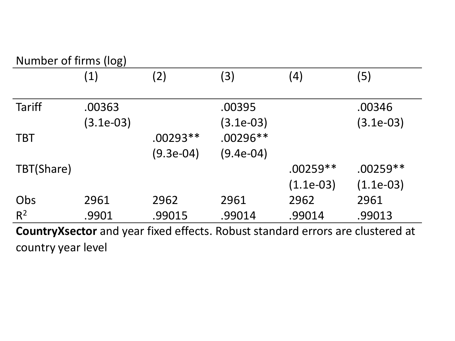#### Number of firms (log)

|               | (1)                 | (2)                     | (3)                       | (4)                       | (5)                                                                            |
|---------------|---------------------|-------------------------|---------------------------|---------------------------|--------------------------------------------------------------------------------|
| <b>Tariff</b> | .00363<br>(3.1e-03) |                         | .00395<br>(3.1e-03)       |                           | .00346<br>$(3.1e-03)$                                                          |
| <b>TBT</b>    |                     | $.00293**$<br>(9.3e-04) | $.00296**$<br>$(9.4e-04)$ |                           |                                                                                |
| TBT(Share)    |                     |                         |                           | $.00259**$<br>$(1.1e-03)$ | $.00259**$<br>$(1.1e-03)$                                                      |
| Obs           | 2961                | 2962                    | 2961                      | 2962                      | 2961                                                                           |
| $R^2$         | .9901               | .99015                  | .99014                    | .99014                    | .99013                                                                         |
|               |                     |                         |                           |                           | Country Ysector and year fived effects Robust standard errors are clustered at |

**CountryXsector** and year fixed effects. Robust standard errors are clustered at country year level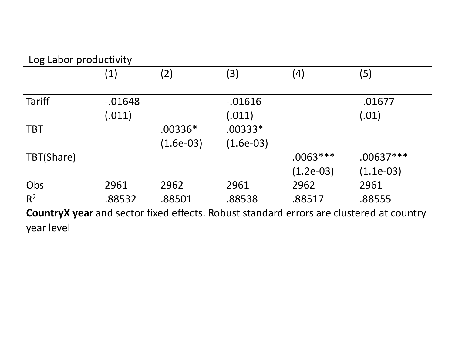#### Log Labor productivity

| ັ             |            |             |             |             |                                                                                         |
|---------------|------------|-------------|-------------|-------------|-----------------------------------------------------------------------------------------|
|               | (1)        | (2)         | (3)         | (4)         | (5)                                                                                     |
|               |            |             |             |             |                                                                                         |
| <b>Tariff</b> | $-0.01648$ |             | $-0.01616$  |             | $-0.01677$                                                                              |
|               | (.011)     |             | (.011)      |             | (.01)                                                                                   |
| <b>TBT</b>    |            | $.00336*$   | $.00333*$   |             |                                                                                         |
|               |            | $(1.6e-03)$ | $(1.6e-03)$ |             |                                                                                         |
| TBT(Share)    |            |             |             | $.0063***$  | $.00637***$                                                                             |
|               |            |             |             | $(1.2e-03)$ | $(1.1e-03)$                                                                             |
| Obs           | 2961       | 2962        | 2961        | 2962        | 2961                                                                                    |
| $R^2$         | .88532     | .88501      | .88538      | .88517      | .88555                                                                                  |
|               |            |             |             |             | Country Y vear and sector fived effects Robust standard errors are clustered at country |

**CountryX year** and sector fixed effects. Robust standard errors are clustered at country year level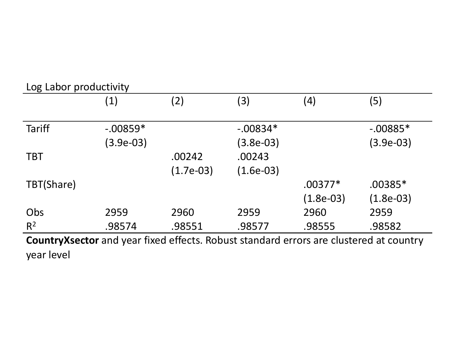| Log Labor productivity |                                                                                                                                                                       |             |             |             |             |  |  |
|------------------------|-----------------------------------------------------------------------------------------------------------------------------------------------------------------------|-------------|-------------|-------------|-------------|--|--|
|                        | (1)                                                                                                                                                                   | (2)         | (3)         | (4)         | (5)         |  |  |
| <b>Tariff</b>          | $-.00859*$                                                                                                                                                            |             | $-.00834*$  |             | $-0.00885*$ |  |  |
|                        | (3.9e-03)                                                                                                                                                             |             | $(3.8e-03)$ |             | $(3.9e-03)$ |  |  |
| <b>TBT</b>             |                                                                                                                                                                       | .00242      | .00243      |             |             |  |  |
|                        |                                                                                                                                                                       | $(1.7e-03)$ | $(1.6e-03)$ |             |             |  |  |
| TBT(Share)             |                                                                                                                                                                       |             |             | $.00377*$   | $.00385*$   |  |  |
|                        |                                                                                                                                                                       |             |             | $(1.8e-03)$ | $(1.8e-03)$ |  |  |
| Obs                    | 2959                                                                                                                                                                  | 2960        | 2959        | 2960        | 2959        |  |  |
| $R^2$                  | .98574                                                                                                                                                                | .98551      | .98577      | .98555      | .98582      |  |  |
| $\bullet$              | <b>C.</b><br>and the state of the state of the<br>and the contract of the contract of the contract of the contract of the contract of the contract of the contract of |             |             |             |             |  |  |

**CountryXsector** and year fixed effects. Robust standard errors are clustered at country year level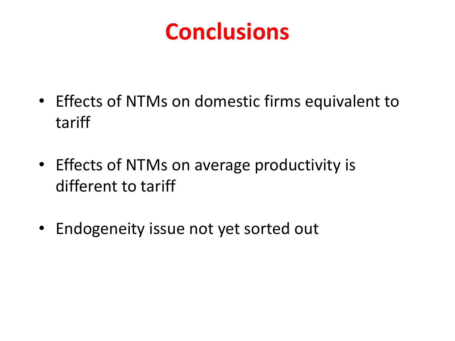# **Conclusions**

- Effects of NTMs on domestic firms equivalent to tariff
- Effects of NTMs on average productivity is different to tariff
- Endogeneity issue not yet sorted out